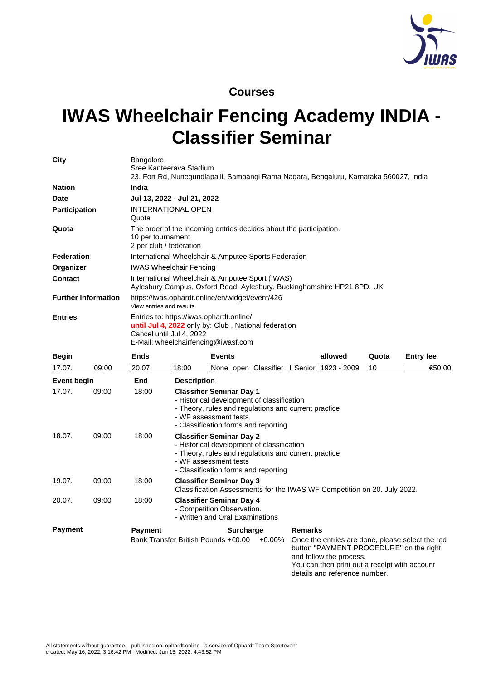

## **Courses**

## **IWAS Wheelchair Fencing Academy INDIA - Classifier Seminar**

| City                       |       | <b>Bangalore</b><br>Sree Kanteerava Stadium                                                                                                                         |                                                                                                                                                                                                        | 23, Fort Rd, Nunegundlapalli, Sampangi Rama Nagara, Bengaluru, Karnataka 560027, India           |                                                                                                                                                                                                                            |       |                  |  |  |
|----------------------------|-------|---------------------------------------------------------------------------------------------------------------------------------------------------------------------|--------------------------------------------------------------------------------------------------------------------------------------------------------------------------------------------------------|--------------------------------------------------------------------------------------------------|----------------------------------------------------------------------------------------------------------------------------------------------------------------------------------------------------------------------------|-------|------------------|--|--|
| <b>Nation</b>              |       | India                                                                                                                                                               |                                                                                                                                                                                                        |                                                                                                  |                                                                                                                                                                                                                            |       |                  |  |  |
| <b>Date</b>                |       | Jul 13, 2022 - Jul 21, 2022                                                                                                                                         |                                                                                                                                                                                                        |                                                                                                  |                                                                                                                                                                                                                            |       |                  |  |  |
| <b>Participation</b>       |       | INTERNATIONAL OPEN<br>Quota                                                                                                                                         |                                                                                                                                                                                                        |                                                                                                  |                                                                                                                                                                                                                            |       |                  |  |  |
| Quota                      |       | 10 per tournament<br>2 per club / federation                                                                                                                        |                                                                                                                                                                                                        | The order of the incoming entries decides about the participation.                               |                                                                                                                                                                                                                            |       |                  |  |  |
| <b>Federation</b>          |       | International Wheelchair & Amputee Sports Federation                                                                                                                |                                                                                                                                                                                                        |                                                                                                  |                                                                                                                                                                                                                            |       |                  |  |  |
| Organizer                  |       | <b>IWAS Wheelchair Fencing</b>                                                                                                                                      |                                                                                                                                                                                                        |                                                                                                  |                                                                                                                                                                                                                            |       |                  |  |  |
| <b>Contact</b>             |       | International Wheelchair & Amputee Sport (IWAS)<br>Aylesbury Campus, Oxford Road, Aylesbury, Buckinghamshire HP21 8PD, UK                                           |                                                                                                                                                                                                        |                                                                                                  |                                                                                                                                                                                                                            |       |                  |  |  |
| <b>Further information</b> |       | https://iwas.ophardt.online/en/widget/event/426<br>View entries and results                                                                                         |                                                                                                                                                                                                        |                                                                                                  |                                                                                                                                                                                                                            |       |                  |  |  |
| <b>Entries</b>             |       | Entries to: https://iwas.ophardt.online/<br>until Jul 4, 2022 only by: Club, National federation<br>Cancel until Jul 4, 2022<br>E-Mail: wheelchairfencing@iwasf.com |                                                                                                                                                                                                        |                                                                                                  |                                                                                                                                                                                                                            |       |                  |  |  |
| <b>Begin</b>               |       | <b>Ends</b>                                                                                                                                                         |                                                                                                                                                                                                        | <b>Events</b>                                                                                    | allowed                                                                                                                                                                                                                    | Quota | <b>Entry fee</b> |  |  |
| 17.07.                     | 09:00 | 20.07.                                                                                                                                                              | 18:00                                                                                                                                                                                                  | None open Classifier I Senior 1923 - 2009                                                        |                                                                                                                                                                                                                            | 10    | €50.00           |  |  |
| <b>Event begin</b>         |       | End                                                                                                                                                                 | <b>Description</b>                                                                                                                                                                                     |                                                                                                  |                                                                                                                                                                                                                            |       |                  |  |  |
| 17.07.                     | 09:00 | 18:00                                                                                                                                                               | <b>Classifier Seminar Day 1</b><br>- Historical development of classification<br>- Theory, rules and regulations and current practice<br>- WF assessment tests<br>- Classification forms and reporting |                                                                                                  |                                                                                                                                                                                                                            |       |                  |  |  |
| 18.07.                     | 09:00 | 18:00                                                                                                                                                               | <b>Classifier Seminar Day 2</b><br>- Historical development of classification<br>- Theory, rules and regulations and current practice<br>- WF assessment tests<br>- Classification forms and reporting |                                                                                                  |                                                                                                                                                                                                                            |       |                  |  |  |
| 19.07.                     | 09:00 | 18:00                                                                                                                                                               | <b>Classifier Seminar Day 3</b><br>Classification Assessments for the IWAS WF Competition on 20. July 2022.                                                                                            |                                                                                                  |                                                                                                                                                                                                                            |       |                  |  |  |
| 20.07.                     | 09:00 | 18:00                                                                                                                                                               |                                                                                                                                                                                                        | <b>Classifier Seminar Day 4</b><br>- Competition Observation.<br>- Written and Oral Examinations |                                                                                                                                                                                                                            |       |                  |  |  |
| <b>Payment</b>             |       | <b>Payment</b>                                                                                                                                                      |                                                                                                                                                                                                        | Surcharge<br>Bank Transfer British Pounds +€0.00<br>$+0.00\%$                                    | <b>Remarks</b><br>Once the entries are done, please select the red<br>button "PAYMENT PROCEDURE" on the right<br>and follow the process.<br>You can then print out a receipt with account<br>details and reference number. |       |                  |  |  |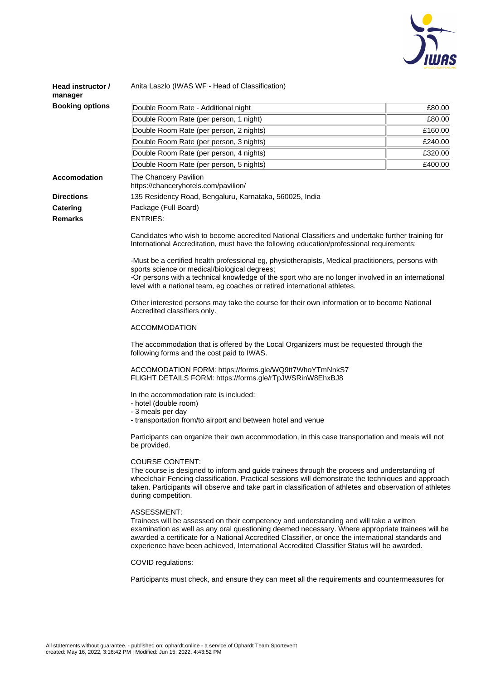

| Head instructor /<br>manager | Anita Laszlo (IWAS WF - Head of Classification)                                                                                                                                                                                                                                                                                                                                                                                                                                                                                                                                                                                                                                                                                                                                                                                                                                                                                                                                                                                                                                                                                                                                       |         |  |  |  |  |  |
|------------------------------|---------------------------------------------------------------------------------------------------------------------------------------------------------------------------------------------------------------------------------------------------------------------------------------------------------------------------------------------------------------------------------------------------------------------------------------------------------------------------------------------------------------------------------------------------------------------------------------------------------------------------------------------------------------------------------------------------------------------------------------------------------------------------------------------------------------------------------------------------------------------------------------------------------------------------------------------------------------------------------------------------------------------------------------------------------------------------------------------------------------------------------------------------------------------------------------|---------|--|--|--|--|--|
| <b>Booking options</b>       | Double Room Rate - Additional night                                                                                                                                                                                                                                                                                                                                                                                                                                                                                                                                                                                                                                                                                                                                                                                                                                                                                                                                                                                                                                                                                                                                                   | £80.00  |  |  |  |  |  |
|                              | Double Room Rate (per person, 1 night)                                                                                                                                                                                                                                                                                                                                                                                                                                                                                                                                                                                                                                                                                                                                                                                                                                                                                                                                                                                                                                                                                                                                                | £80.00  |  |  |  |  |  |
|                              | Double Room Rate (per person, 2 nights)                                                                                                                                                                                                                                                                                                                                                                                                                                                                                                                                                                                                                                                                                                                                                                                                                                                                                                                                                                                                                                                                                                                                               | £160.00 |  |  |  |  |  |
|                              | Double Room Rate (per person, 3 nights)                                                                                                                                                                                                                                                                                                                                                                                                                                                                                                                                                                                                                                                                                                                                                                                                                                                                                                                                                                                                                                                                                                                                               | £240.00 |  |  |  |  |  |
|                              | Double Room Rate (per person, 4 nights)                                                                                                                                                                                                                                                                                                                                                                                                                                                                                                                                                                                                                                                                                                                                                                                                                                                                                                                                                                                                                                                                                                                                               | £320.00 |  |  |  |  |  |
|                              | Double Room Rate (per person, 5 nights)                                                                                                                                                                                                                                                                                                                                                                                                                                                                                                                                                                                                                                                                                                                                                                                                                                                                                                                                                                                                                                                                                                                                               | £400.00 |  |  |  |  |  |
| Accomodation                 | The Chancery Pavilion<br>https://chanceryhotels.com/pavilion/                                                                                                                                                                                                                                                                                                                                                                                                                                                                                                                                                                                                                                                                                                                                                                                                                                                                                                                                                                                                                                                                                                                         |         |  |  |  |  |  |
| <b>Directions</b>            | 135 Residency Road, Bengaluru, Karnataka, 560025, India                                                                                                                                                                                                                                                                                                                                                                                                                                                                                                                                                                                                                                                                                                                                                                                                                                                                                                                                                                                                                                                                                                                               |         |  |  |  |  |  |
| Catering                     | Package (Full Board)                                                                                                                                                                                                                                                                                                                                                                                                                                                                                                                                                                                                                                                                                                                                                                                                                                                                                                                                                                                                                                                                                                                                                                  |         |  |  |  |  |  |
| <b>Remarks</b>               | <b>ENTRIES:</b>                                                                                                                                                                                                                                                                                                                                                                                                                                                                                                                                                                                                                                                                                                                                                                                                                                                                                                                                                                                                                                                                                                                                                                       |         |  |  |  |  |  |
|                              | Candidates who wish to become accredited National Classifiers and undertake further training for<br>International Accreditation, must have the following education/professional requirements:<br>-Must be a certified health professional eg, physiotherapists, Medical practitioners, persons with<br>sports science or medical/biological degrees;<br>-Or persons with a technical knowledge of the sport who are no longer involved in an international<br>level with a national team, eg coaches or retired international athletes.<br>Other interested persons may take the course for their own information or to become National<br>Accredited classifiers only.                                                                                                                                                                                                                                                                                                                                                                                                                                                                                                               |         |  |  |  |  |  |
|                              | <b>ACCOMMODATION</b><br>The accommodation that is offered by the Local Organizers must be requested through the<br>following forms and the cost paid to IWAS.                                                                                                                                                                                                                                                                                                                                                                                                                                                                                                                                                                                                                                                                                                                                                                                                                                                                                                                                                                                                                         |         |  |  |  |  |  |
|                              | ACCOMODATION FORM: https://forms.gle/WQ9tt7WhoYTmNnkS7<br>FLIGHT DETAILS FORM: https://forms.gle/rTpJWSRinW8EhxBJ8<br>In the accommodation rate is included:<br>- hotel (double room)<br>- 3 meals per day<br>- transportation from/to airport and between hotel and venue<br>Participants can organize their own accommodation, in this case transportation and meals will not<br>be provided.<br><b>COURSE CONTENT:</b><br>The course is designed to inform and guide trainees through the process and understanding of<br>wheelchair Fencing classification. Practical sessions will demonstrate the techniques and approach<br>taken. Participants will observe and take part in classification of athletes and observation of athletes<br>during competition.<br>ASSESSMENT:<br>Trainees will be assessed on their competency and understanding and will take a written<br>examination as well as any oral questioning deemed necessary. Where appropriate trainees will be<br>awarded a certificate for a National Accredited Classifier, or once the international standards and<br>experience have been achieved, International Accredited Classifier Status will be awarded. |         |  |  |  |  |  |

COVID regulations:

Participants must check, and ensure they can meet all the requirements and countermeasures for